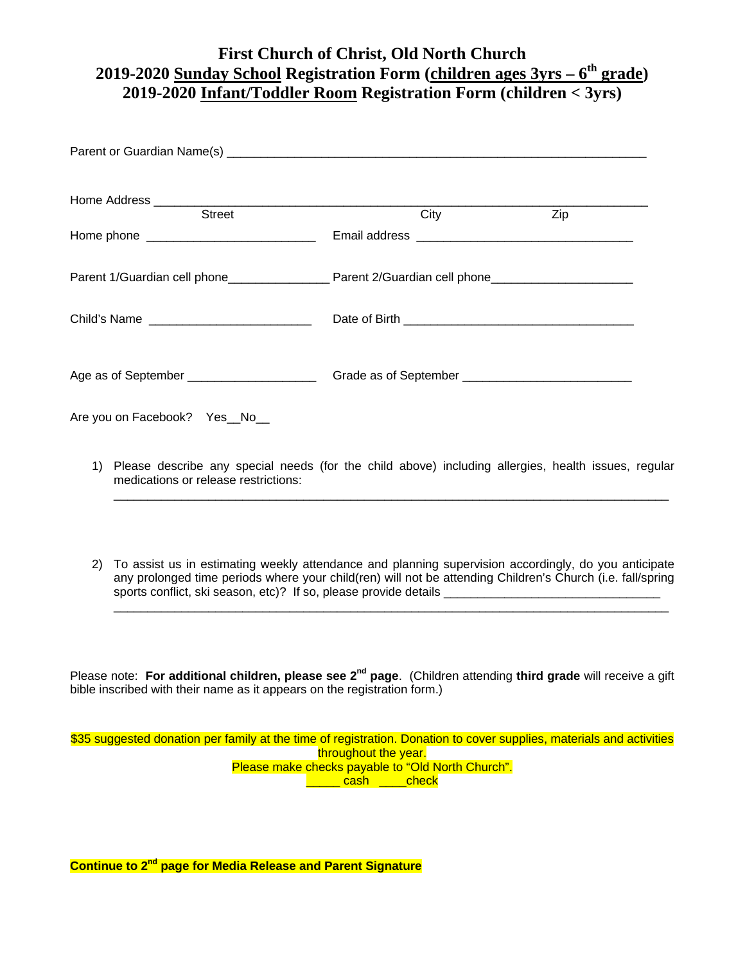## **First Church of Christ, Old North Church 2019-2020 Sunday School Registration Form (children ages 3yrs – 6th grade) 2019-2020 Infant/Toddler Room Registration Form (children < 3yrs)**

|                                                                                                                                                                                                                                                                                                                                   | City | Zip |
|-----------------------------------------------------------------------------------------------------------------------------------------------------------------------------------------------------------------------------------------------------------------------------------------------------------------------------------|------|-----|
|                                                                                                                                                                                                                                                                                                                                   |      |     |
|                                                                                                                                                                                                                                                                                                                                   |      |     |
| Child's Name                                                                                                                                                                                                                                                                                                                      |      |     |
| Age as of September ________________________                                                                                                                                                                                                                                                                                      |      |     |
| Are you on Facebook? Yes_No_                                                                                                                                                                                                                                                                                                      |      |     |
| 1) Please describe any special needs (for the child above) including allergies, health issues, regular<br>medications or release restrictions:                                                                                                                                                                                    |      |     |
| To assist us in estimating weekly attendance and planning supervision accordingly, do you anticipate<br>(2)<br>any prolonged time periods where your child(ren) will not be attending Children's Church (i.e. fall/spring<br>sports conflict, ski season, etc)? If so, please provide details ___________________________________ |      |     |
|                                                                                                                                                                                                                                                                                                                                   |      |     |

Please note: For additional children, please see 2<sup>nd</sup> page. (Children attending third grade will receive a gift bible inscribed with their name as it appears on the registration form.)

\$35 suggested donation per family at the time of registration. Donation to cover supplies, materials and activities throughout the year. Please make checks payable to "Old North Church". **Lash** check

**Continue to 2nd page for Media Release and Parent Signature**